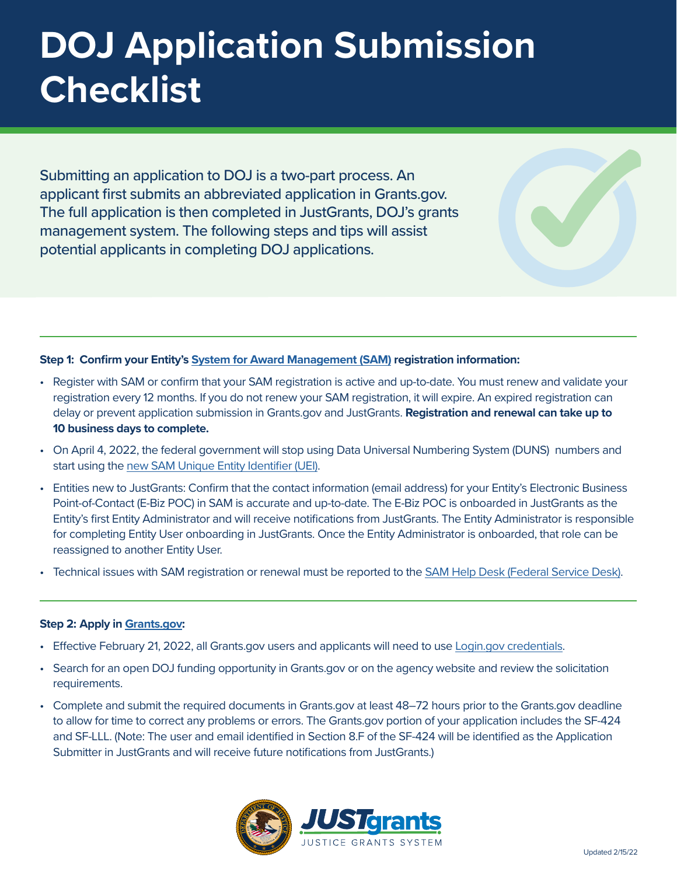# **DOJ Application Submission Checklist**

Submitting an application to DOJ is a two-part process. An applicant first submits an abbreviated application in Grants.gov. The full application is then completed in JustGrants, DOJ's grants management system. The following steps and tips will assist potential applicants in completing DOJ applications.

# **Step 1: Confirm your Entity's [System for Award Management \(SAM\)](https://sam.gov/SAM/) registration information:**

- Register with SAM or confirm that your SAM registration is active and up-to-date. You must renew and validate your registration every 12 months. If you do not renew your SAM registration, it will expire. An expired registration can delay or prevent application submission in Grants.gov and JustGrants. **Registration and renewal can take up to 10 business days to complete.**
- On April 4, 2022, the federal government will stop using Data Universal Numbering System (DUNS) numbers and start using the [new SAM Unique Entity Identifier \(UEI\)](https://justicegrants.usdoj.gov/resources/system-for-award-management#transition-to-unique-entity-id-sam).
- Entities new to JustGrants: Confirm that the contact information (email address) for your Entity's Electronic Business Point-of-Contact (E-Biz POC) in SAM is accurate and up-to-date. The E-Biz POC is onboarded in JustGrants as the Entity's first Entity Administrator and will receive notifications from JustGrants. The Entity Administrator is responsible for completing Entity User onboarding in JustGrants. Once the Entity Administrator is onboarded, that role can be reassigned to another Entity User.
- Technical issues with SAM registration or renewal must be reported to the [SAM Help Desk \(Federal Service Desk\)](https://www.fsd.gov/gsafsd_sp).

#### **Step 2: Apply in [Grants.gov:](https://www.grants.gov/)**

- Effective February 21, 2022, all Grants.gov users and applicants will need to use [Login.gov credentials.](https://grantsgovprod.wordpress.com/2022/01/26/sign-in-to-grants-gov-with-your-login-gov-credentials-updated-2/)
- Search for an open DOJ funding opportunity in Grants.gov or on the agency website and review the solicitation requirements.
- Complete and submit the required documents in Grants.gov at least 48–72 hours prior to the Grants.gov deadline to allow for time to correct any problems or errors. The Grants.gov portion of your application includes the SF-424 and SF-LLL. (Note: The user and email identified in Section 8.F of the SF-424 will be identified as the Application Submitter in JustGrants and will receive future notifications from JustGrants.)

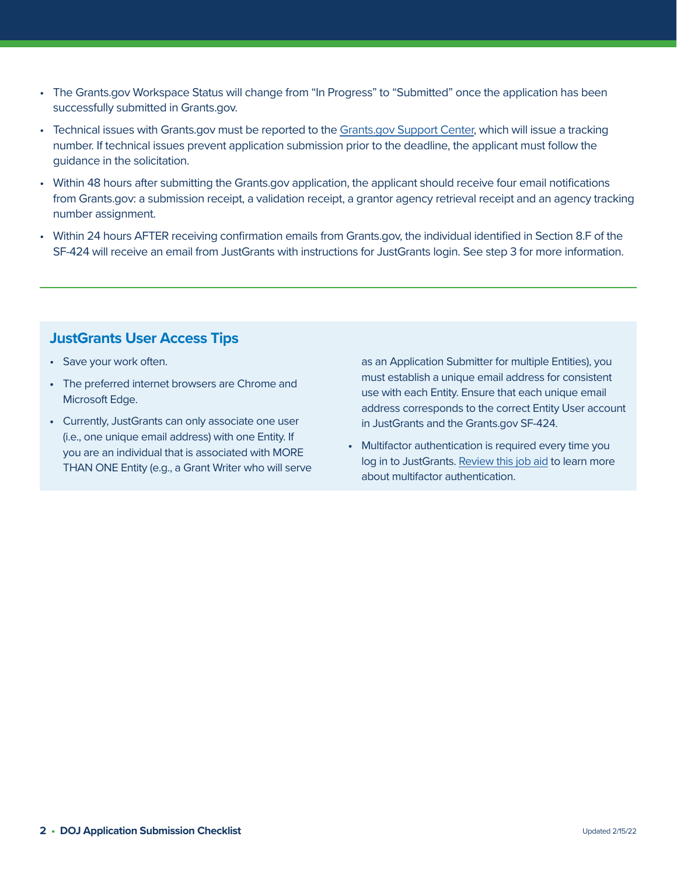- The Grants.gov Workspace Status will change from "In Progress" to "Submitted" once the application has been successfully submitted in Grants.gov.
- Technical issues with Grants.gov must be reported to the [Grants.gov Support Center,](https://www.grants.gov/support.html) which will issue a tracking number. If technical issues prevent application submission prior to the deadline, the applicant must follow the guidance in the solicitation.
- Within 48 hours after submitting the Grants.gov application, the applicant should receive four email notifications from Grants.gov: a submission receipt, a validation receipt, a grantor agency retrieval receipt and an agency tracking number assignment.
- Within 24 hours AFTER receiving confirmation emails from Grants.gov, the individual identified in Section 8.F of the SF-424 will receive an email from JustGrants with instructions for JustGrants login. See step 3 for more information.

# **JustGrants User Access Tips**

- Save your work often.
- **•** The preferred internet browsers are Chrome and Microsoft Edge.
- **•** Currently, JustGrants can only associate one user (i.e., one unique email address) with one Entity. If you are an individual that is associated with MORE THAN ONE Entity (e.g., a Grant Writer who will serve

as an Application Submitter for multiple Entities), you must establish a unique email address for consistent use with each Entity. Ensure that each unique email address corresponds to the correct Entity User account in JustGrants and the Grants.gov SF-424.

**•** Multifactor authentication is required every time you log in to JustGrants. [Review this job aid](https://justicegrants.usdoj.gov/sites/g/files/xyckuh296/files/media/document/diamd-faqs.pdf#receive-sms-login-code) to learn more about multifactor authentication.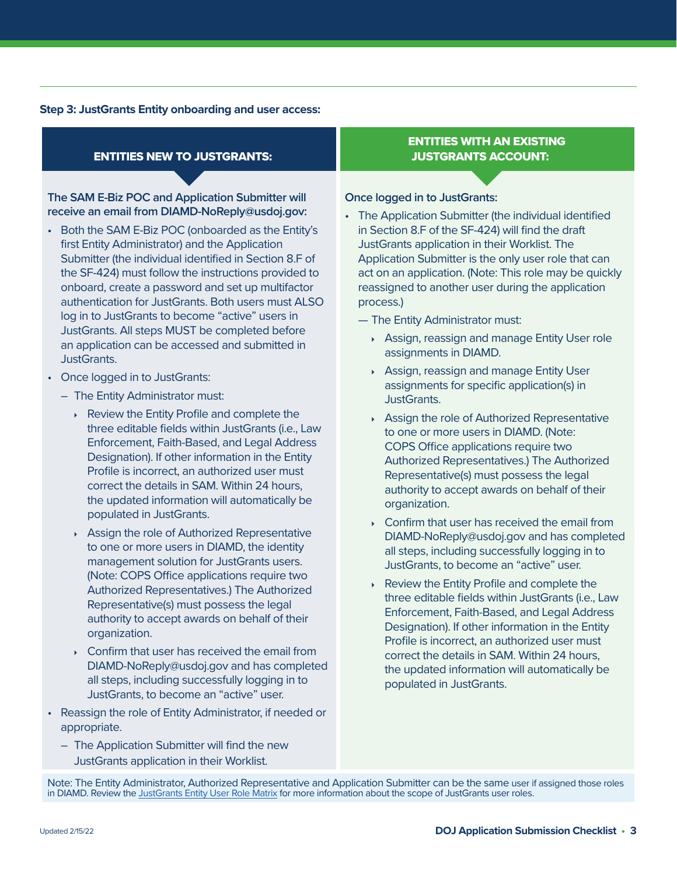### **Step 3: JustGrants Entity onboarding and user access:**

# ENTITIES NEW TO JUSTGRANTS:

## **The SAM E-Biz POC and Application Submitter will receive an email from DIAMD-NoReply@usdoj.gov:**

- Both the SAM E-Biz POC (onboarded as the Entity's first Entity Administrator) and the Application Submitter (the individual identified in Section 8.F of the SF-424) must follow the instructions provided to onboard, create a password and set up multifactor authentication for JustGrants. Both users must ALSO log in to JustGrants to become "active" users in JustGrants. All steps MUST be completed before an application can be accessed and submitted in JustGrants.
- Once logged in to JustGrants:
	- The Entity Administrator must:
		- } Review the Entity Profile and complete the three editable fields within JustGrants (i.e., Law Enforcement, Faith-Based, and Legal Address Designation). If other information in the Entity Profile is incorrect, an authorized user must correct the details in SAM. Within 24 hours, the updated information will automatically be populated in JustGrants.
		- ▶ Assign the role of Authorized Representative to one or more users in DIAMD, the identity management solution for JustGrants users. (Note: COPS Office applications require two Authorized Representatives.) The Authorized Representative(s) must possess the legal authority to accept awards on behalf of their organization.
		- $\sqrt{2}$  Confirm that user has received the email from DIAMD-NoReply@usdoj.gov and has completed all steps, including successfully logging in to JustGrants, to become an "active" user.
- Reassign the role of Entity Administrator, if needed or appropriate.
	- The Application Submitter will find the new JustGrants application in their Worklist.

# ENTITIES WITH AN EXISTING JUSTGRANTS ACCOUNT:

#### **Once logged in to JustGrants:**

- The Application Submitter (the individual identified in Section 8.F of the SF-424) will find the draft JustGrants application in their Worklist. The Application Submitter is the only user role that can act on an application. (Note: This role may be quickly reassigned to another user during the application process.)
	- The Entity Administrator must:
		- ▶ Assign, reassign and manage Entity User role assignments in DIAMD.
		- } Assign, reassign and manage Entity User assignments for specific application(s) in JustGrants.
		- } Assign the role of Authorized Representative to one or more users in DIAMD. (Note: COPS Office applications require two Authorized Representatives.) The Authorized Representative(s) must possess the legal authority to accept awards on behalf of their organization.
		- $\sqrt{2}$  Confirm that user has received the email from DIAMD-NoReply@usdoj.gov and has completed all steps, including successfully logging in to JustGrants, to become an "active" user.
		- Review the Entity Profile and complete the three editable fields within JustGrants (i.e., Law Enforcement, Faith-Based, and Legal Address Designation). If other information in the Entity Profile is incorrect, an authorized user must correct the details in SAM. Within 24 hours, the updated information will automatically be populated in JustGrants.

Note: The Entity Administrator, Authorized Representative and Application Submitter can be the same user if assigned those roles in DIAMD. Review the [JustGrants Entity User Role Matrix](https://justicegrants.usdoj.gov/sites/g/files/xyckuh296/files/media/document/user-roles-matrix.pdf) for more information about the scope of JustGrants user roles.